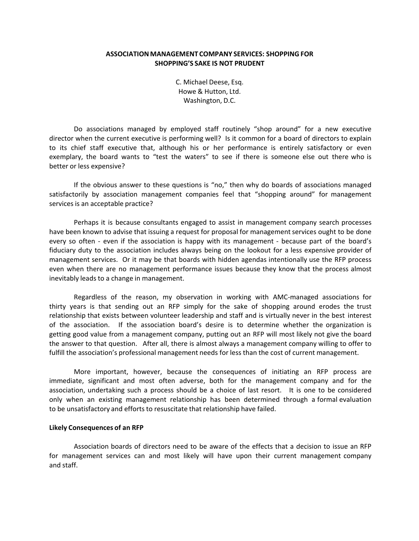## **ASSOCIATION MANAGEMENT COMPANY SERVICES: SHOPPING FOR SHOPPING'S SAKE IS NOT PRUDENT**

C. Michael Deese, Esq. Howe & Hutton, Ltd. Washington, D.C.

Do associations managed by employed staff routinely "shop around" for a new executive director when the current executive is performing well? Is it common for a board of directors to explain to its chief staff executive that, although his or her performance is entirely satisfactory or even exemplary, the board wants to "test the waters" to see if there is someone else out there who is better or less expensive?

If the obvious answer to these questions is "no," then why do boards of associations managed satisfactorily by association management companies feel that "shopping around" for management services is an acceptable practice?

Perhaps it is because consultants engaged to assist in management company search processes have been known to advise that issuing a request for proposal for management services ought to be done every so often - even if the association is happy with its management - because part of the board's fiduciary duty to the association includes always being on the lookout for a less expensive provider of management services. Or it may be that boards with hidden agendas intentionally use the RFP process even when there are no management performance issues because they know that the process almost inevitably leads to a change in management.

Regardless of the reason, my observation in working with AMC‐managed associations for thirty years is that sending out an RFP simply for the sake of shopping around erodes the trust relationship that exists between volunteer leadership and staff and is virtually never in the best interest of the association. If the association board's desire is to determine whether the organization is getting good value from a management company, putting out an RFP will most likely not give the board the answer to that question. After all, there is almost always a management company willing to offer to fulfill the association's professional management needs for less than the cost of current management.

More important, however, because the consequences of initiating an RFP process are immediate, significant and most often adverse, both for the management company and for the association, undertaking such a process should be a choice of last resort. It is one to be considered only when an existing management relationship has been determined through a formal evaluation to be unsatisfactory and efforts to resuscitate that relationship have failed.

## **Likely Consequences of an RFP**

Association boards of directors need to be aware of the effects that a decision to issue an RFP for management services can and most likely will have upon their current management company and staff.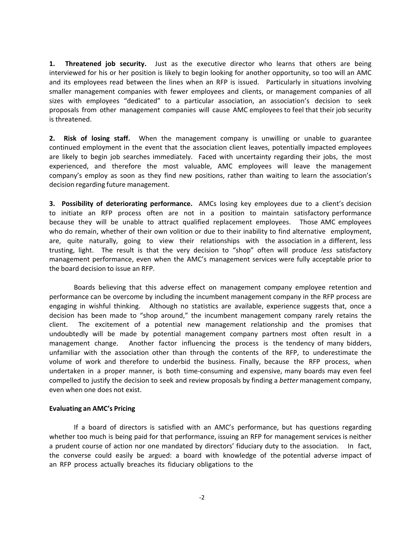**1.** Threatened job security. Just as the executive director who learns that others are being interviewed for his or her position is likely to begin looking for another opportunity, so too will an AMC and its employees read between the lines when an RFP is issued. Particularly in situations involving smaller management companies with fewer employees and clients, or management companies of all sizes with employees "dedicated" to a particular association, an association's decision to seek proposals from other management companies will cause AMC employees to feel that their job security is threatened.

**2. Risk of losing staff.**  When the management company is unwilling or unable to guarantee continued employment in the event that the association client leaves, potentially impacted employees are likely to begin job searches immediately. Faced with uncertainty regarding their jobs, the most experienced, and therefore the most valuable, AMC employees will leave the management company's employ as soon as they find new positions, rather than waiting to learn the association's decision regarding future management.

**3. Possibility of deteriorating performance.**  AMCs losing key employees due to a client's decision to initiate an RFP process often are not in a position to maintain satisfactory performance because they will be unable to attract qualified replacement employees. Those AMC employees who do remain, whether of their own volition or due to their inability to find alternative employment, are, quite naturally, going to view their relationships with the association in a different, less trusting, light. The result is that the very decision to "shop" often will produce *less* satisfactory management performance, even when the AMC's management services were fully acceptable prior to the board decision to issue an RFP.

Boards believing that this adverse effect on management company employee retention and performance can be overcome by including the incumbent management company in the RFP process are engaging in wishful thinking. Although no statistics are available, experience suggests that, once a decision has been made to "shop around," the incumbent management company rarely retains the client. The excitement of a potential new management relationship and the promises that undoubtedly will be made by potential management company partners most often result in a management change. Another factor influencing the process is the tendency of many bidders, unfamiliar with the association other than through the contents of the RFP, to underestimate the volume of work and therefore to underbid the business. Finally, because the RFP process, when undertaken in a proper manner, is both time‐consuming and expensive, many boards may even feel compelled to justify the decision to seek and review proposals by finding a *better* management company, even when one does not exist.

## **Evaluating an AMC's Pricing**

If a board of directors is satisfied with an AMC's performance, but has questions regarding whether too much is being paid for that performance, issuing an RFP for management services is neither a prudent course of action nor one mandated by directors' fiduciary duty to the association. In fact, the converse could easily be argued: a board with knowledge of the potential adverse impact of an RFP process actually breaches its fiduciary obligations to the